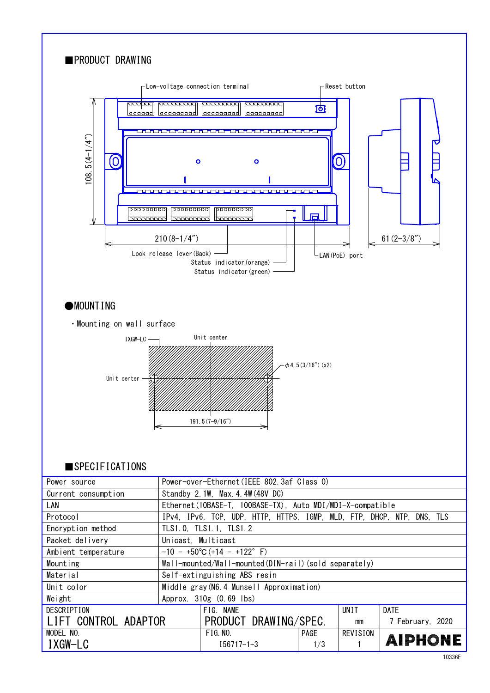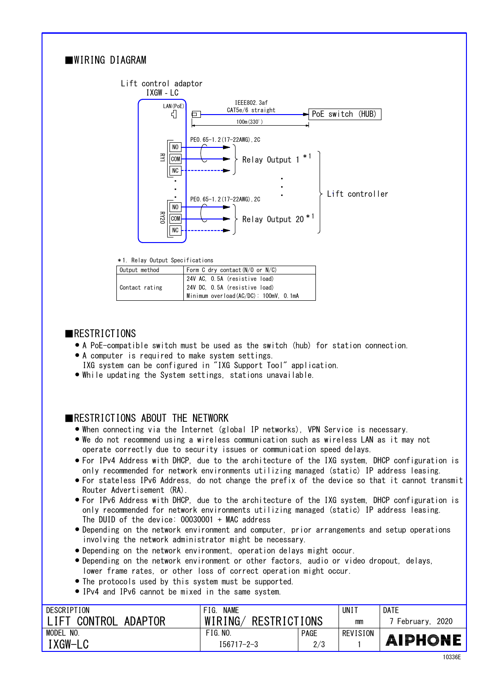# ■WIRING DIAGRAM



|  |  | *1. Relay Output Specifications |  |
|--|--|---------------------------------|--|
|--|--|---------------------------------|--|

| Output method  | Form C dry contact $(N/O$ or $N/C$ )  |  |  |
|----------------|---------------------------------------|--|--|
|                | 24V AC, O.5A (resistive load)         |  |  |
| Contact rating | 24V DC, 0.5A (resistive load)         |  |  |
|                | Minimum overload(AC/DC): 100mV, 0.1mA |  |  |

#### ■RESTRICTIONS

- A PoE-compatible switch must be used as the switch (hub) for station connection.
- A computer is required to make system settings. ●
- IXG system can be configured in "IXG Support Tool" application.
- While updating the System settings, stations unavailable.

## ■RESTRICTIONS ABOUT THE NETWORK

- When connecting via the Internet (global IP networks), VPN Service is necessary. ●
- We do not recommend using a wireless communication such as wireless LAN as it may not operate correctly due to security issues or communication speed delays.
- For IPv4 Address with DHCP, due to the architecture of the IXG system, DHCP configuration is only recommended for network environments utilizing managed (static) IP address leasing.
- For stateless IPv6 Address, do not change the prefix of the device so that it cannot transmit Router Advertisement (RA).
- only recommended for network environments utilizing managed (static) IP address leasing. For IPv6 Address with DHCP, due to the architecture of the IXG system, DHCP configuration is ● The DUID of the device: 00030001 + MAC address
- Depending on the network environment and computer, prior arrangements and setup operations involving the network administrator might be necessary.
- Depending on the network environment, operation delays might occur. ●
- lower frame rates, or other loss of correct operation might occur. • Depending on the network environment or other factors, audio or video dropout, delays,
- The protocols used by this system must be supported. ●
- IPv4 and IPv6 cannot be mixed in the same system.

| DESCRIPTION                 | <b>NAME</b><br>FIG.     |             | UNI 1    | DATE              |
|-----------------------------|-------------------------|-------------|----------|-------------------|
| CONTROL<br>. IFT<br>ADAPTOR | WIRING/<br>RESTRICTIONS |             | mm       | 2020<br>February. |
| MODEL<br>NO.                | FIG. N0.                | <b>PAGE</b> | REVISION |                   |
| 'XGW-LC                     | $I56717 - 2 - 3$        | 2/3         |          | <b>AIPHONE</b>    |